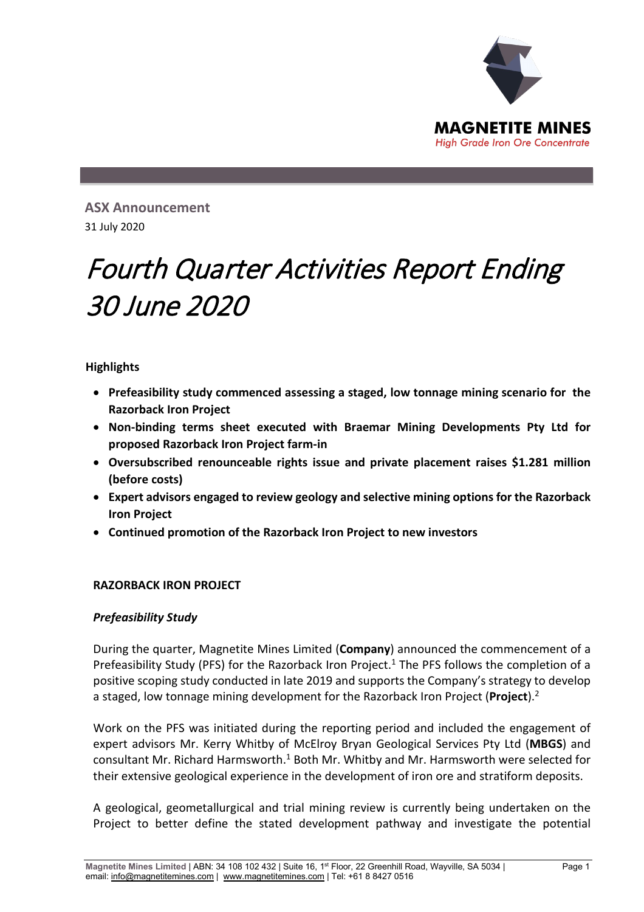

**ASX Announcement**  31 July 2020

# Fourth Quarter Activities Report Ending 30 June 2020

# **Highlights**

- **Prefeasibility study commenced assessing a staged, low tonnage mining scenario for the Razorback Iron Project**
- **Non-binding terms sheet executed with Braemar Mining Developments Pty Ltd for proposed Razorback Iron Project farm-in**
- **Oversubscribed renounceable rights issue and private placement raises \$1.281 million (before costs)**
- **Expert advisors engaged to review geology and selective mining options for the Razorback Iron Project**
- **Continued promotion of the Razorback Iron Project to new investors**

#### **RAZORBACK IRON PROJECT**

#### *Prefeasibility Study*

During the quarter, Magnetite Mines Limited (**Company**) announced the commencement of a Prefeasibility Study (PFS) for the Razorback Iron Project.<sup>1</sup> The PFS follows the completion of a positive scoping study conducted in late 2019 and supports the Company's strategy to develop a staged, low tonnage mining development for the Razorback Iron Project (**Project**).2

Work on the PFS was initiated during the reporting period and included the engagement of expert advisors Mr. Kerry Whitby of McElroy Bryan Geological Services Pty Ltd (**MBGS**) and consultant Mr. Richard Harmsworth.<sup>1</sup> Both Mr. Whitby and Mr. Harmsworth were selected for their extensive geological experience in the development of iron ore and stratiform deposits.

A geological, geometallurgical and trial mining review is currently being undertaken on the Project to better define the stated development pathway and investigate the potential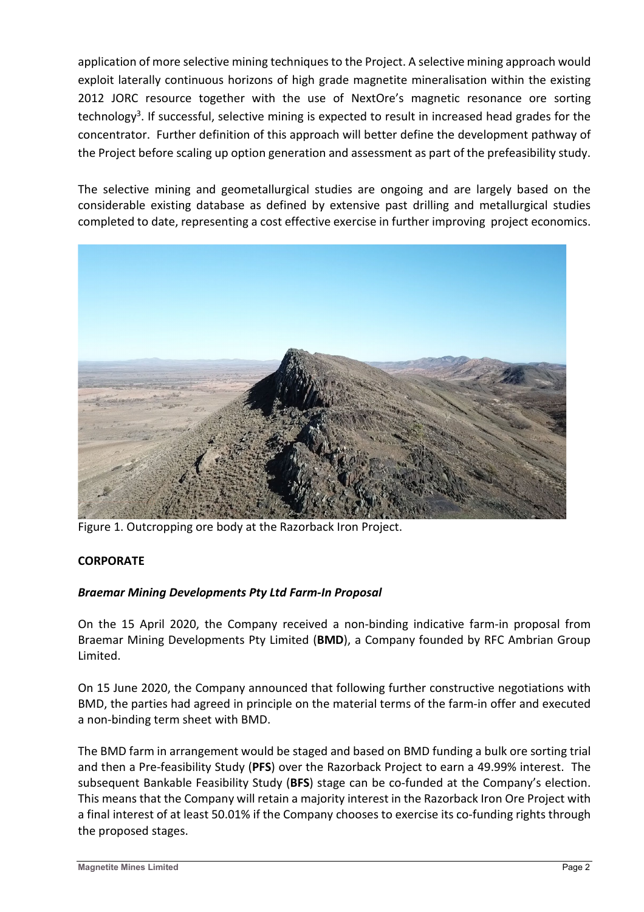application of more selective mining techniques to the Project. A selective mining approach would exploit laterally continuous horizons of high grade magnetite mineralisation within the existing 2012 JORC resource together with the use of NextOre's magnetic resonance ore sorting technology<sup>3</sup>. If successful, selective mining is expected to result in increased head grades for the concentrator. Further definition of this approach will better define the development pathway of the Project before scaling up option generation and assessment as part of the prefeasibility study.

The selective mining and geometallurgical studies are ongoing and are largely based on the considerable existing database as defined by extensive past drilling and metallurgical studies completed to date, representing a cost effective exercise in further improving project economics.



Figure 1. Outcropping ore body at the Razorback Iron Project.

# **CORPORATE**

# *Braemar Mining Developments Pty Ltd Farm-In Proposal*

On the 15 April 2020, the Company received a non-binding indicative farm-in proposal from Braemar Mining Developments Pty Limited (**BMD**), a Company founded by RFC Ambrian Group Limited.

On 15 June 2020, the Company announced that following further constructive negotiations with BMD, the parties had agreed in principle on the material terms of the farm-in offer and executed a non-binding term sheet with BMD.

The BMD farm in arrangement would be staged and based on BMD funding a bulk ore sorting trial and then a Pre-feasibility Study (**PFS**) over the Razorback Project to earn a 49.99% interest. The subsequent Bankable Feasibility Study (**BFS**) stage can be co-funded at the Company's election. This means that the Company will retain a majority interest in the Razorback Iron Ore Project with a final interest of at least 50.01% if the Company chooses to exercise its co-funding rights through the proposed stages.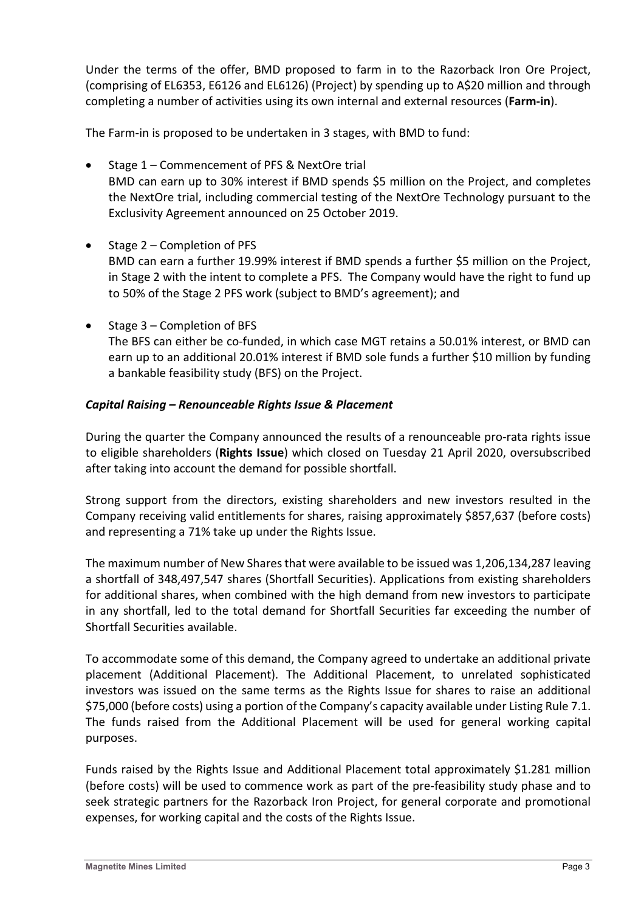Under the terms of the offer, BMD proposed to farm in to the Razorback Iron Ore Project, (comprising of EL6353, E6126 and EL6126) (Project) by spending up to A\$20 million and through completing a number of activities using its own internal and external resources (**Farm-in**).

The Farm-in is proposed to be undertaken in 3 stages, with BMD to fund:

- Stage 1 Commencement of PFS & NextOre trial BMD can earn up to 30% interest if BMD spends \$5 million on the Project, and completes the NextOre trial, including commercial testing of the NextOre Technology pursuant to the Exclusivity Agreement announced on 25 October 2019.
- Stage 2 Completion of PFS BMD can earn a further 19.99% interest if BMD spends a further \$5 million on the Project, in Stage 2 with the intent to complete a PFS. The Company would have the right to fund up to 50% of the Stage 2 PFS work (subject to BMD's agreement); and
- Stage 3 Completion of BFS The BFS can either be co-funded, in which case MGT retains a 50.01% interest, or BMD can earn up to an additional 20.01% interest if BMD sole funds a further \$10 million by funding a bankable feasibility study (BFS) on the Project.

# *Capital Raising – Renounceable Rights Issue & Placement*

During the quarter the Company announced the results of a renounceable pro-rata rights issue to eligible shareholders (**Rights Issue**) which closed on Tuesday 21 April 2020, oversubscribed after taking into account the demand for possible shortfall.

Strong support from the directors, existing shareholders and new investors resulted in the Company receiving valid entitlements for shares, raising approximately \$857,637 (before costs) and representing a 71% take up under the Rights Issue.

The maximum number of New Shares that were available to be issued was 1,206,134,287 leaving a shortfall of 348,497,547 shares (Shortfall Securities). Applications from existing shareholders for additional shares, when combined with the high demand from new investors to participate in any shortfall, led to the total demand for Shortfall Securities far exceeding the number of Shortfall Securities available.

To accommodate some of this demand, the Company agreed to undertake an additional private placement (Additional Placement). The Additional Placement, to unrelated sophisticated investors was issued on the same terms as the Rights Issue for shares to raise an additional \$75,000 (before costs) using a portion of the Company's capacity available under Listing Rule 7.1. The funds raised from the Additional Placement will be used for general working capital purposes.

Funds raised by the Rights Issue and Additional Placement total approximately \$1.281 million (before costs) will be used to commence work as part of the pre-feasibility study phase and to seek strategic partners for the Razorback Iron Project, for general corporate and promotional expenses, for working capital and the costs of the Rights Issue.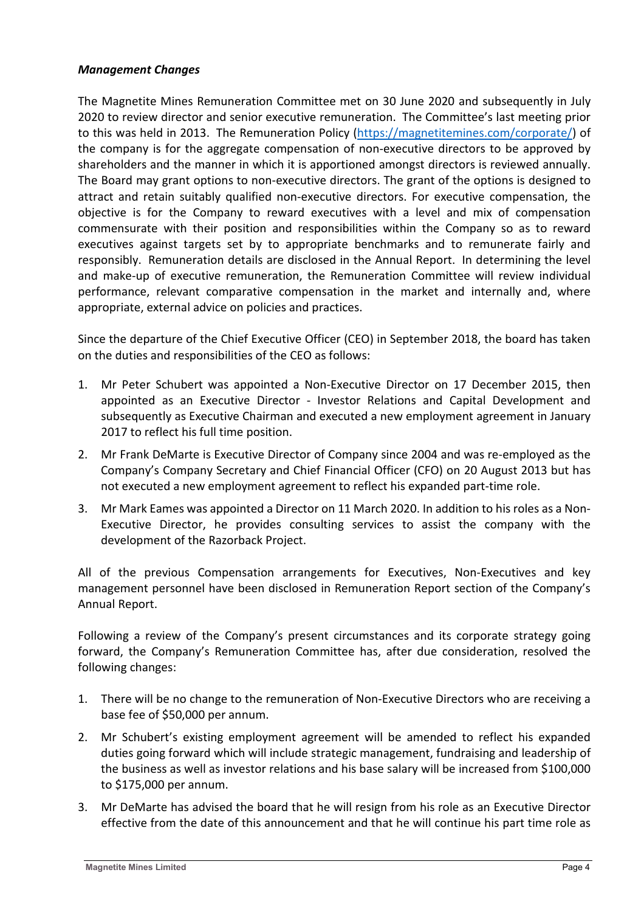#### *Management Changes*

The Magnetite Mines Remuneration Committee met on 30 June 2020 and subsequently in July 2020 to review director and senior executive remuneration. The Committee's last meeting prior to this was held in 2013. The Remuneration Policy [\(https://magnetitemines.com/corporate/\)](https://magnetitemines.com/corporate/) of the company is for the aggregate compensation of non-executive directors to be approved by shareholders and the manner in which it is apportioned amongst directors is reviewed annually. The Board may grant options to non-executive directors. The grant of the options is designed to attract and retain suitably qualified non-executive directors. For executive compensation, the objective is for the Company to reward executives with a level and mix of compensation commensurate with their position and responsibilities within the Company so as to reward executives against targets set by to appropriate benchmarks and to remunerate fairly and responsibly. Remuneration details are disclosed in the Annual Report. In determining the level and make-up of executive remuneration, the Remuneration Committee will review individual performance, relevant comparative compensation in the market and internally and, where appropriate, external advice on policies and practices.

Since the departure of the Chief Executive Officer (CEO) in September 2018, the board has taken on the duties and responsibilities of the CEO as follows:

- 1. Mr Peter Schubert was appointed a Non-Executive Director on 17 December 2015, then appointed as an Executive Director - Investor Relations and Capital Development and subsequently as Executive Chairman and executed a new employment agreement in January 2017 to reflect his full time position.
- 2. Mr Frank DeMarte is Executive Director of Company since 2004 and was re-employed as the Company's Company Secretary and Chief Financial Officer (CFO) on 20 August 2013 but has not executed a new employment agreement to reflect his expanded part-time role.
- 3. Mr Mark Eames was appointed a Director on 11 March 2020. In addition to his roles as a Non-Executive Director, he provides consulting services to assist the company with the development of the Razorback Project.

All of the previous Compensation arrangements for Executives, Non-Executives and key management personnel have been disclosed in Remuneration Report section of the Company's Annual Report.

Following a review of the Company's present circumstances and its corporate strategy going forward, the Company's Remuneration Committee has, after due consideration, resolved the following changes:

- 1. There will be no change to the remuneration of Non-Executive Directors who are receiving a base fee of \$50,000 per annum.
- 2. Mr Schubert's existing employment agreement will be amended to reflect his expanded duties going forward which will include strategic management, fundraising and leadership of the business as well as investor relations and his base salary will be increased from \$100,000 to \$175,000 per annum.
- 3. Mr DeMarte has advised the board that he will resign from his role as an Executive Director effective from the date of this announcement and that he will continue his part time role as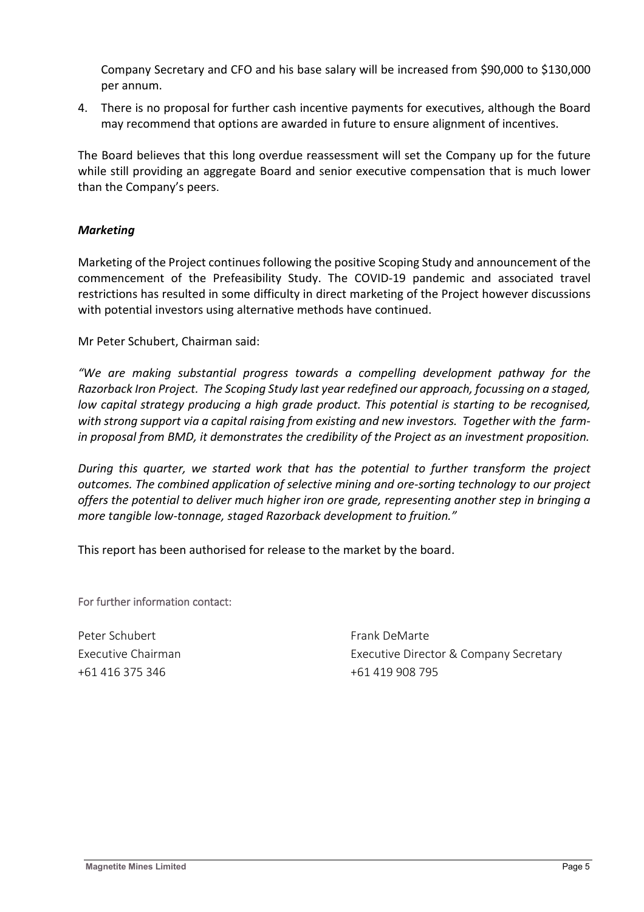Company Secretary and CFO and his base salary will be increased from \$90,000 to \$130,000 per annum.

4. There is no proposal for further cash incentive payments for executives, although the Board may recommend that options are awarded in future to ensure alignment of incentives.

The Board believes that this long overdue reassessment will set the Company up for the future while still providing an aggregate Board and senior executive compensation that is much lower than the Company's peers.

# *Marketing*

Marketing of the Project continues following the positive Scoping Study and announcement of the commencement of the Prefeasibility Study. The COVID-19 pandemic and associated travel restrictions has resulted in some difficulty in direct marketing of the Project however discussions with potential investors using alternative methods have continued.

Mr Peter Schubert, Chairman said:

*"We are making substantial progress towards a compelling development pathway for the Razorback Iron Project. The Scoping Study last year redefined our approach, focussing on a staged, low capital strategy producing a high grade product. This potential is starting to be recognised,*  with strong support via a capital raising from existing and new investors. Together with the farm*in proposal from BMD, it demonstrates the credibility of the Project as an investment proposition.*

*During this quarter, we started work that has the potential to further transform the project outcomes. The combined application of selective mining and ore-sorting technology to our project offers the potential to deliver much higher iron ore grade, representing another step in bringing a more tangible low-tonnage, staged Razorback development to fruition."*

This report has been authorised for release to the market by the board.

For further information contact:

Peter Schubert Frank DeMarte +61 416 375 346 +61 419 908 795

Executive Chairman Executive Director & Company Secretary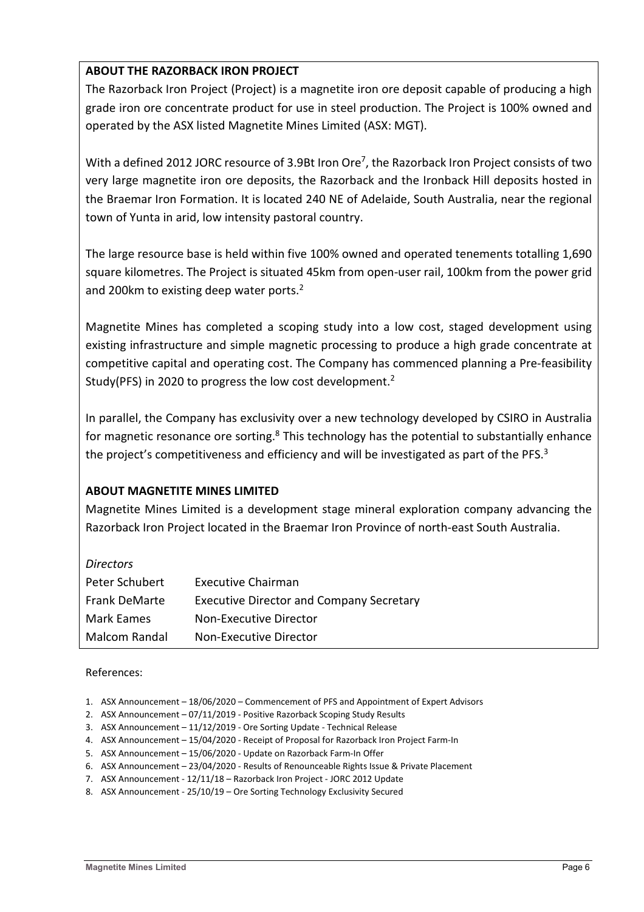# **ABOUT THE RAZORBACK IRON PROJECT**

The Razorback Iron Project (Project) is a magnetite iron ore deposit capable of producing a high grade iron ore concentrate product for use in steel production. The Project is 100% owned and operated by the ASX listed Magnetite Mines Limited (ASX: MGT).

With a defined 2012 JORC resource of 3.9Bt Iron Ore<sup>7</sup>, the Razorback Iron Project consists of two very large magnetite iron ore deposits, the Razorback and the Ironback Hill deposits hosted in the Braemar Iron Formation. It is located 240 NE of Adelaide, South Australia, near the regional town of Yunta in arid, low intensity pastoral country.

The large resource base is held within five 100% owned and operated tenements totalling 1,690 square kilometres. The Project is situated 45km from open-user rail, 100km from the power grid and 200 $km$  to existing deep water ports.<sup>2</sup>

Magnetite Mines has completed a scoping study into a low cost, staged development using existing infrastructure and simple magnetic processing to produce a high grade concentrate at competitive capital and operating cost. The Company has commenced planning a Pre-feasibility Study(PFS) in 2020 to progress the low cost development.2

In parallel, the Company has exclusivity over a new technology developed by CSIRO in Australia for magnetic resonance ore sorting.<sup>8</sup> This technology has the potential to substantially enhance the project's competitiveness and efficiency and will be investigated as part of the PFS.<sup>3</sup>

# **ABOUT MAGNETITE MINES LIMITED**

Magnetite Mines Limited is a development stage mineral exploration company advancing the Razorback Iron Project located in the Braemar Iron Province of north-east South Australia.

| <b>Directors</b>  |                                                 |
|-------------------|-------------------------------------------------|
| Peter Schubert    | <b>Executive Chairman</b>                       |
| Frank DeMarte     | <b>Executive Director and Company Secretary</b> |
| <b>Mark Eames</b> | Non-Executive Director                          |
| Malcom Randal     | Non-Executive Director                          |

#### References:

- 1. ASX Announcement 18/06/2020 Commencement of PFS and Appointment of Expert Advisors
- 2. ASX Announcement 07/11/2019 Positive Razorback Scoping Study Results
- 3. ASX Announcement 11/12/2019 Ore Sorting Update Technical Release
- 4. ASX Announcement 15/04/2020 Receipt of Proposal for Razorback Iron Project Farm-In
- 5. ASX Announcement 15/06/2020 Update on Razorback Farm-In Offer
- 6. ASX Announcement 23/04/2020 Results of Renounceable Rights Issue & Private Placement
- 7. ASX Announcement 12/11/18 Razorback Iron Project JORC 2012 Update
- 8. ASX Announcement 25/10/19 Ore Sorting Technology Exclusivity Secured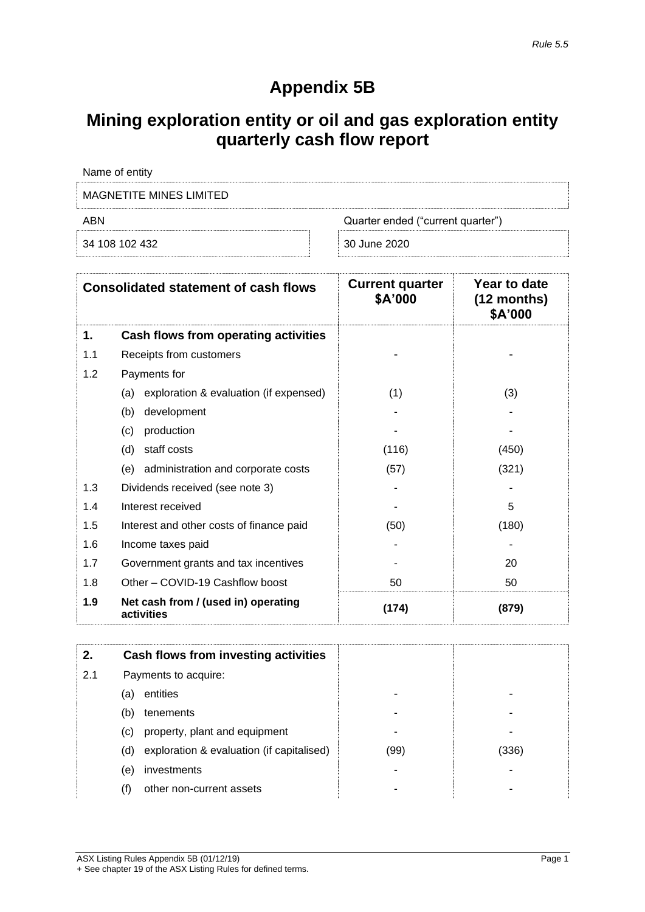# **Appendix 5B**

# **Mining exploration entity or oil and gas exploration entity quarterly cash flow report**

| Name of entity                           |              |  |  |
|------------------------------------------|--------------|--|--|
| MAGNETITE MINES LIMITED                  |              |  |  |
| ABN<br>Quarter ended ("current quarter") |              |  |  |
| 34 108 102 432                           | 30 June 2020 |  |  |

| <b>Consolidated statement of cash flows</b> |                                                   | <b>Current quarter</b><br>\$A'000 | Year to date<br>$(12$ months)<br>\$A'000 |
|---------------------------------------------|---------------------------------------------------|-----------------------------------|------------------------------------------|
| 1.                                          | Cash flows from operating activities              |                                   |                                          |
| 1.1                                         | Receipts from customers                           |                                   |                                          |
| 1.2                                         | Payments for                                      |                                   |                                          |
|                                             | exploration & evaluation (if expensed)<br>(a)     | (1)                               | (3)                                      |
|                                             | development<br>(b)                                |                                   |                                          |
|                                             | production<br>(c)                                 |                                   |                                          |
|                                             | staff costs<br>(d)                                | (116)                             | (450)                                    |
|                                             | administration and corporate costs<br>(e)         | (57)                              | (321)                                    |
| 1.3                                         | Dividends received (see note 3)                   |                                   |                                          |
| 1.4                                         | Interest received                                 |                                   | 5                                        |
| 1.5                                         | Interest and other costs of finance paid          | (50)                              | (180)                                    |
| 1.6                                         | Income taxes paid                                 |                                   |                                          |
| 1.7                                         | Government grants and tax incentives              |                                   | 20                                       |
| 1.8                                         | Other - COVID-19 Cashflow boost                   | 50                                | 50                                       |
| 1.9                                         | Net cash from / (used in) operating<br>activities | (174)                             | (879)                                    |

| 2.  |                                 | Cash flows from investing activities      |      |       |
|-----|---------------------------------|-------------------------------------------|------|-------|
| 2.1 | Payments to acquire:            |                                           |      |       |
|     | entities<br>(a)                 |                                           |      |       |
|     | tenements<br>(b)                |                                           |      |       |
|     | (C)                             | property, plant and equipment             |      |       |
|     | (d)                             | exploration & evaluation (if capitalised) | (99) | (336) |
|     | investments<br>(e)              |                                           |      |       |
|     | other non-current assets<br>(f) |                                           |      |       |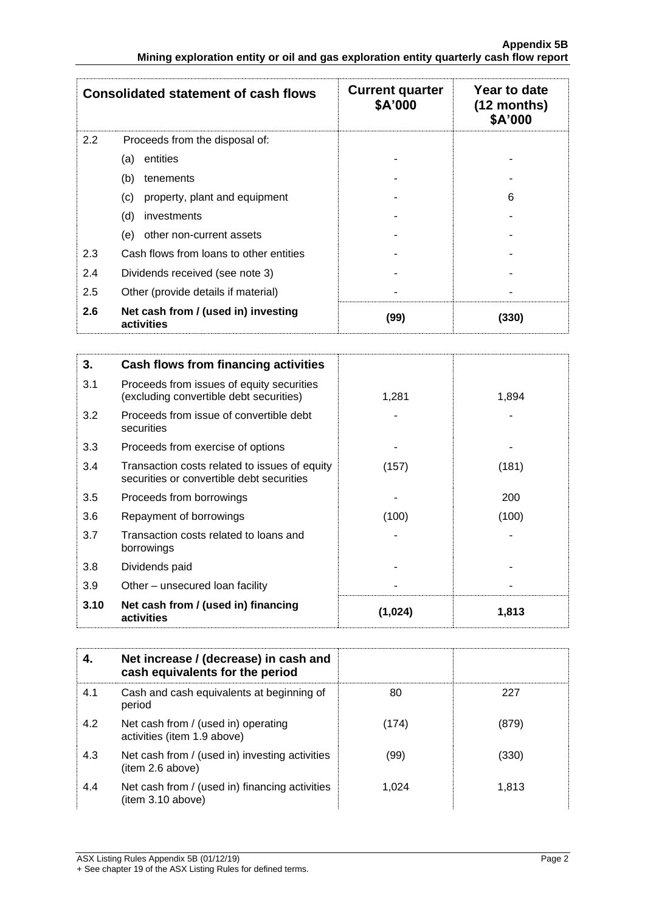|     | <b>Consolidated statement of cash flows</b>       | <b>Current quarter</b><br>\$A'000 | Year to date<br>$(12$ months)<br>\$A'000 |
|-----|---------------------------------------------------|-----------------------------------|------------------------------------------|
| 2.2 | Proceeds from the disposal of:                    |                                   |                                          |
|     | entities<br>(a)                                   |                                   |                                          |
|     | (b)<br>tenements                                  |                                   |                                          |
|     | property, plant and equipment<br>(c)              |                                   | 6                                        |
|     | (d)<br>investments                                |                                   |                                          |
|     | other non-current assets<br>(e)                   |                                   |                                          |
| 2.3 | Cash flows from loans to other entities           |                                   |                                          |
| 2.4 | Dividends received (see note 3)                   |                                   |                                          |
| 2.5 | Other (provide details if material)               |                                   |                                          |
| 2.6 | Net cash from / (used in) investing<br>activities | (99)                              | (330)                                    |

| 3.   | Cash flows from financing activities                                                       |         |       |
|------|--------------------------------------------------------------------------------------------|---------|-------|
| 3.1  | Proceeds from issues of equity securities<br>(excluding convertible debt securities)       | 1,281   | 1,894 |
| 3.2  | Proceeds from issue of convertible debt<br>securities                                      |         |       |
| 3.3  | Proceeds from exercise of options                                                          |         |       |
| 3.4  | Transaction costs related to issues of equity<br>securities or convertible debt securities | (157)   | (181) |
| 3.5  | Proceeds from borrowings                                                                   |         | 200   |
| 3.6  | Repayment of borrowings                                                                    | (100)   | (100) |
| 3.7  | Transaction costs related to loans and<br>borrowings                                       |         |       |
| 3.8  | Dividends paid                                                                             |         |       |
| 3.9  | Other – unsecured loan facility                                                            |         |       |
| 3.10 | Net cash from / (used in) financing<br>activities                                          | (1,024) | 1,813 |

|     | Net increase / (decrease) in cash and<br>cash equivalents for the period |       |       |
|-----|--------------------------------------------------------------------------|-------|-------|
| 4.1 | Cash and cash equivalents at beginning of<br>period                      | 80    | 227   |
| 4.2 | Net cash from / (used in) operating<br>activities (item 1.9 above)       | (174) | (879) |
| 4.3 | Net cash from / (used in) investing activities<br>(item 2.6 above)       | (99)  | (330) |
| 4.4 | Net cash from / (used in) financing activities<br>item 3.10 above)       | 1.024 | 1,813 |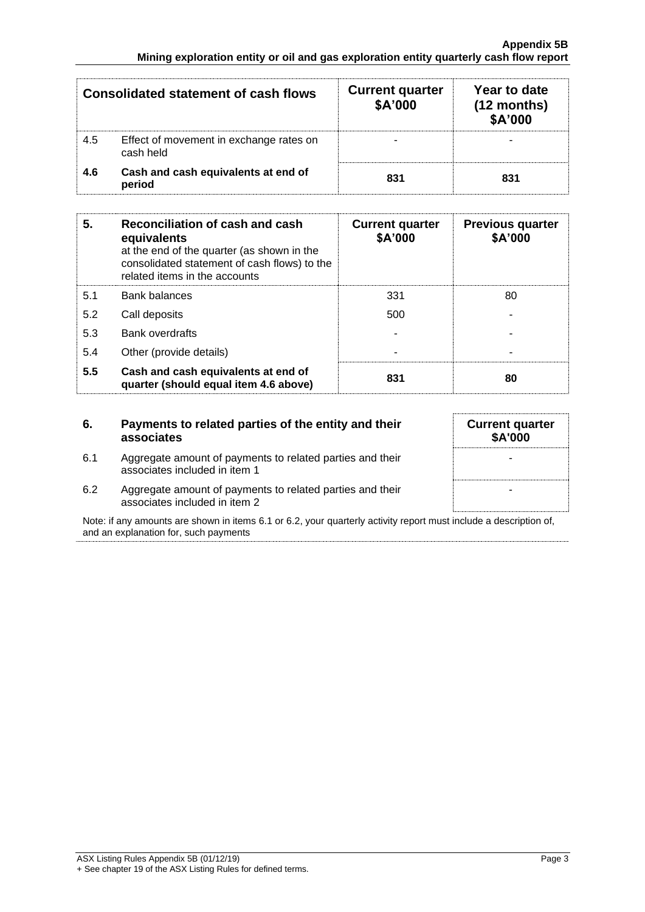|     | <b>Consolidated statement of cash flows</b>          | <b>Current quarter</b><br>\$A'000 | Year to date<br>$(12$ months)<br>\$A'000 |
|-----|------------------------------------------------------|-----------------------------------|------------------------------------------|
| 4.5 | Effect of movement in exchange rates on<br>cash held |                                   |                                          |
| 4.6 | Cash and cash equivalents at end of<br>period        | 831                               | 831                                      |

| 5.  | Reconciliation of cash and cash<br>equivalents<br>at the end of the quarter (as shown in the<br>consolidated statement of cash flows) to the<br>related items in the accounts | <b>Current quarter</b><br>\$A'000 | <b>Previous quarter</b><br>\$A'000 |
|-----|-------------------------------------------------------------------------------------------------------------------------------------------------------------------------------|-----------------------------------|------------------------------------|
| 5.1 | <b>Bank balances</b>                                                                                                                                                          | 331                               | 80                                 |
| 5.2 | Call deposits                                                                                                                                                                 | 500                               |                                    |
| 5.3 | <b>Bank overdrafts</b>                                                                                                                                                        |                                   |                                    |
| 5.4 | Other (provide details)                                                                                                                                                       | $\overline{\phantom{0}}$          |                                    |
| 5.5 | Cash and cash equivalents at end of<br>quarter (should equal item 4.6 above)                                                                                                  | 831                               | 80                                 |

#### **6. Payments to related parties of the entity and their associates**

- 6.1 Aggregate amount of payments to related parties and their associates included in item 1
- 6.2 Aggregate amount of payments to related parties and their associates included in item 2

Note: if any amounts are shown in items 6.1 or 6.2, your quarterly activity report must include a description of, and an explanation for, such payments

**Current quarter \$A'000** - -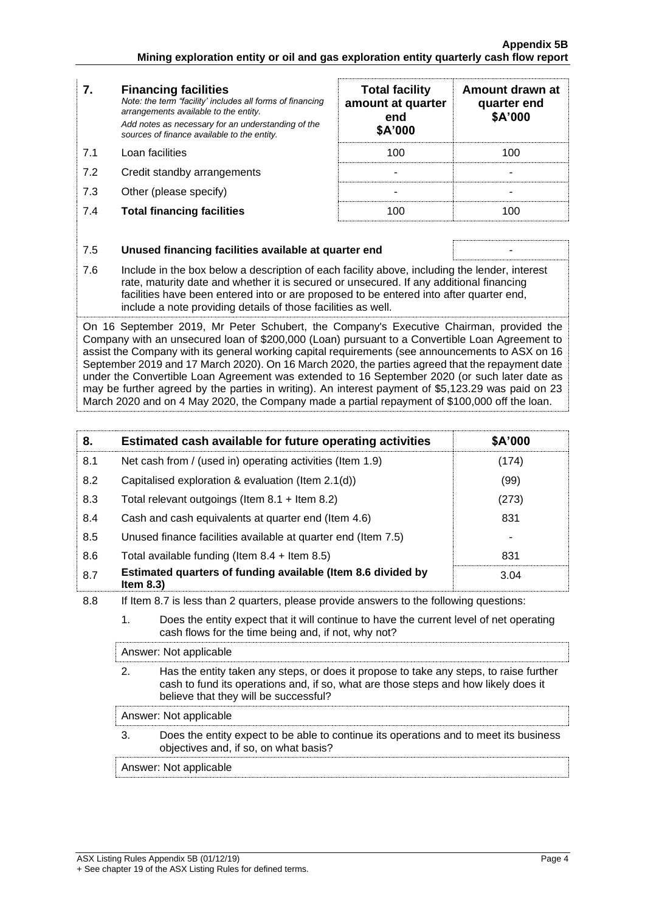#### **7. Financing facilities** *Note: the term "facility' includes all forms of financing arrangements available to the entity. Add notes as necessary for an understanding of the sources of finance available to the entity.* 7.1 Loan facilities 7.2 Credit standby arrangements

- 7.3 Other (please specify)
- **7.4 Total financing facilities**

| <b>Total facility</b><br>amount at quarter<br>end<br>\$A'000 | Amount drawn at<br>quarter end<br>\$A'000 |
|--------------------------------------------------------------|-------------------------------------------|
| 100                                                          | 100                                       |
|                                                              |                                           |
|                                                              |                                           |
|                                                              |                                           |

| 7.5 | Unused financing facilities available at quarter end                                                                                                                                                                                                                                                                                                 |
|-----|------------------------------------------------------------------------------------------------------------------------------------------------------------------------------------------------------------------------------------------------------------------------------------------------------------------------------------------------------|
| 7.6 | Include in the box below a description of each facility above, including the lender, interest<br>rate, maturity date and whether it is secured or unsecured. If any additional financing<br>facilities have been entered into or are proposed to be entered into after quarter end,<br>include a note providing details of those facilities as well. |
|     | On 16 September 2019, Mr Peter Schubert, the Company's Executive Chairman, provided the<br>Company with an unsecured loan of \$200,000 (Loan) pursuant to a Convertible Loan Agreement to                                                                                                                                                            |

of \$200,000 (Loan) pursuant to a Convertible Loan Agr assist the Company with its general working capital requirements (see announcements to ASX on 16 September 2019 and 17 March 2020). On 16 March 2020, the parties agreed that the repayment date under the Convertible Loan Agreement was extended to 16 September 2020 (or such later date as may be further agreed by the parties in writing). An interest payment of \$5,123.29 was paid on 23 March 2020 and on 4 May 2020, the Company made a partial repayment of \$100,000 off the loan.

| 8.  | Estimated cash available for future operating activities                     | \$A'000 |
|-----|------------------------------------------------------------------------------|---------|
| 8.1 | Net cash from / (used in) operating activities (Item 1.9)                    | (174)   |
| 8.2 | Capitalised exploration & evaluation (Item 2.1(d))                           | (99)    |
| 8.3 | Total relevant outgoings (Item $8.1$ + Item $8.2$ )                          | (273)   |
| 8.4 | Cash and cash equivalents at quarter end (Item 4.6)                          | 831     |
| 8.5 | Unused finance facilities available at quarter end (Item 7.5)                |         |
| 8.6 | Total available funding (Item $8.4$ + Item $8.5$ )                           | 831     |
| 8.7 | Estimated quarters of funding available (Item 8.6 divided by<br>Item $8.3$ ) | 3.04    |

- 8.8 If Item 8.7 is less than 2 quarters, please provide answers to the following questions:
	- 1. Does the entity expect that it will continue to have the current level of net operating cash flows for the time being and, if not, why not?

Answer: Not applicable

2. Has the entity taken any steps, or does it propose to take any steps, to raise further cash to fund its operations and, if so, what are those steps and how likely does it believe that they will be successful?

Answer: Not applicable

3. Does the entity expect to be able to continue its operations and to meet its business objectives and, if so, on what basis?

Answer: Not applicable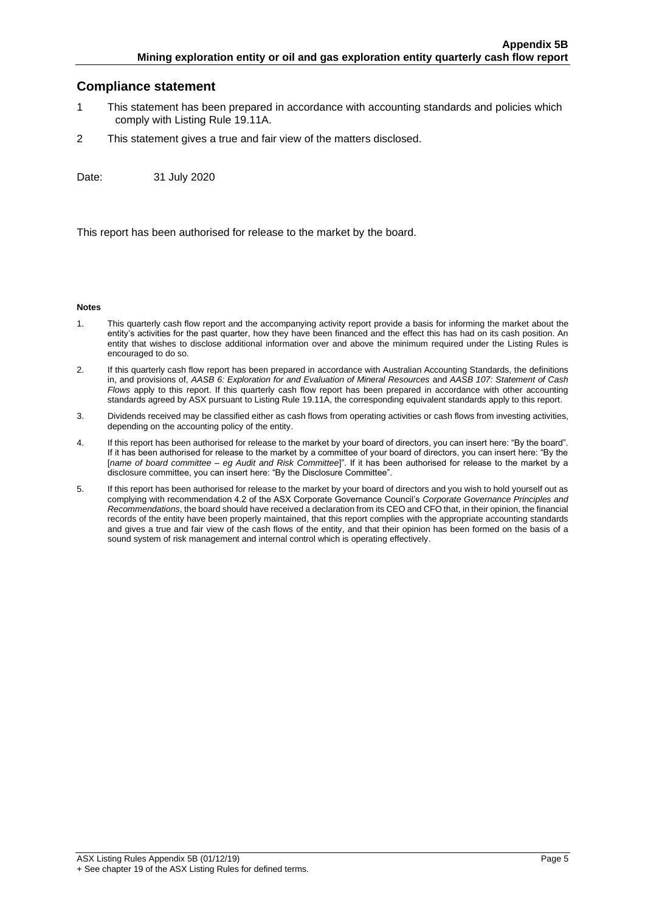#### **Compliance statement**

- 1 This statement has been prepared in accordance with accounting standards and policies which comply with Listing Rule 19.11A.
- 2 This statement gives a true and fair view of the matters disclosed.

Date: 31 July 2020

This report has been authorised for release to the market by the board.

#### **Notes**

- 1. This quarterly cash flow report and the accompanying activity report provide a basis for informing the market about the entity's activities for the past quarter, how they have been financed and the effect this has had on its cash position. An entity that wishes to disclose additional information over and above the minimum required under the Listing Rules is encouraged to do so.
- 2. If this quarterly cash flow report has been prepared in accordance with Australian Accounting Standards, the definitions in, and provisions of, *AASB 6: Exploration for and Evaluation of Mineral Resources* and *AASB 107: Statement of Cash Flows* apply to this report. If this quarterly cash flow report has been prepared in accordance with other accounting standards agreed by ASX pursuant to Listing Rule 19.11A, the corresponding equivalent standards apply to this report.
- 3. Dividends received may be classified either as cash flows from operating activities or cash flows from investing activities, depending on the accounting policy of the entity.
- 4. If this report has been authorised for release to the market by your board of directors, you can insert here: "By the board". If it has been authorised for release to the market by a committee of your board of directors, you can insert here: "By the [*name of board committee* – *eg Audit and Risk Committee*]". If it has been authorised for release to the market by a disclosure committee, you can insert here: "By the Disclosure Committee".
- 5. If this report has been authorised for release to the market by your board of directors and you wish to hold yourself out as complying with recommendation 4.2 of the ASX Corporate Governance Council's *Corporate Governance Principles and Recommendations*, the board should have received a declaration from its CEO and CFO that, in their opinion, the financial records of the entity have been properly maintained, that this report complies with the appropriate accounting standards and gives a true and fair view of the cash flows of the entity, and that their opinion has been formed on the basis of a sound system of risk management and internal control which is operating effectively.